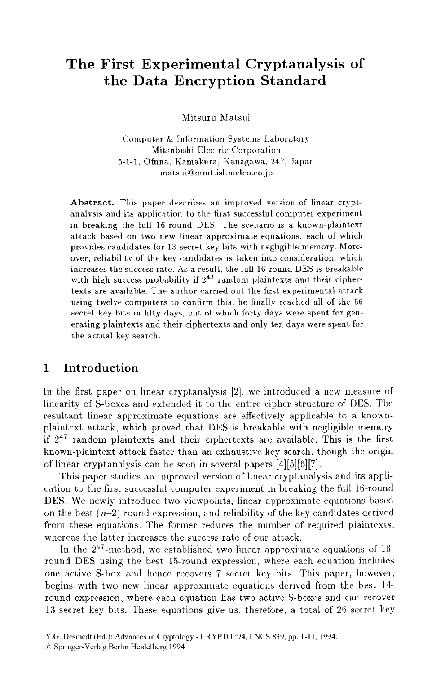# The First Experimental Cryptanalysis of the Data Encryption Standard

Mitsuru Matsui

Computer & Information Systems Laboratory Mitsubishi Electric Corporation 5-1-1. Ofuna. Kamakura, Kanagawa, 247. Japan matsui@mmt.isl.melco.co.ip

Abstract. This paper describes an improved version of linear cryptanalysis and its application to the first successful computer experiment in breaking the full 16-round DES. The scenario is a known-plaintext attack based on two new linear approximate equations, each of which provides candidates for 13 secret key bits with negligible memory. Moreover, reliability of the key candidates is taken into consideration, which increases the success rate. As a result, the full 16-round DES is breakable with high success probability if  $2^{43}$  random plaintexts and their ciphertexts are available. The author carried out the first experimental attack using twelve computers to confirm this: he finally reached all of the 56 secret key bits in fifty days, out of which forty days were spent for generating plaintexts and their ciphertexts and only ten days were spent for the actual key search.

#### $\mathbf{1}$ Introduction

In the first paper on linear cryptanalysis [2], we introduced a new measure of linearity of S-boxes and extended it to the entire cipher structure of DES. The resultant linear approximate equations are effectively applicable to a knownplaintext attack, which proved that DES is breakable with negligible memory if  $2^{47}$  random plaintexts and their ciphertexts are available. This is the first known-plaintext attack faster than an exhaustive key search, though the origin of linear cryptanalysis can be seen in several papers [4][5][6][7].

This paper studies an improved version of linear cryptanalysis and its application to the first successful computer experiment in breaking the full 16-round DES. We newly introduce two viewpoints; linear approximate equations based on the best  $(n-2)$ -round expression, and reliability of the key candidates derived from these equations. The former reduces the number of required plaintexts, whereas the latter increases the success rate of our attack.

In the  $2^{47}$ -method, we established two linear approximate equations of 16round DES using the best 15-round expression, where each equation includes one active S-box and hence recovers 7 secret key bits. This paper, however, begins with two new linear approximate equations derived from the best 14round expression, where each equation has two active S-boxes and can recover 13 secret key bits. These equations give us, therefore, a total of 26 secret key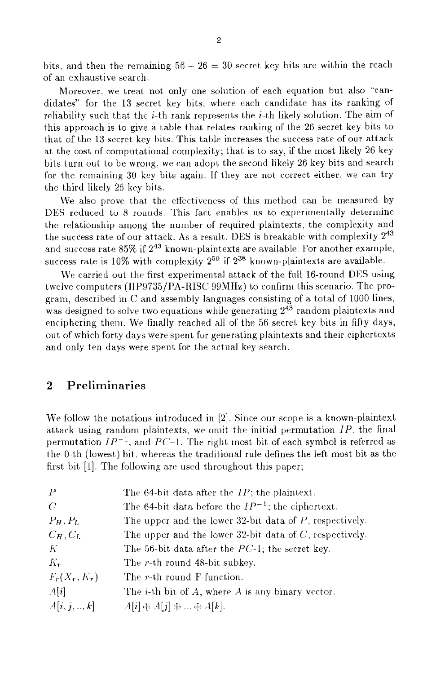bits. and then the remaining  $56 - 26 = 30$  secret key bits are within the reach of an exhaustive search.

Moreover, we treat not, only one solution of each equation but also "candidates" for the 13 secret key bits, where each candidate has its ranking of reliability such that the *i*-th rank represents the *i*-th likely solution. The aim of this approach is to give a table that relates ranking of the 26 secret key bits to that of the  $13$  secret key bits. This table increases the success rate of our attack at the cost of computational complexity; that is to say, if the most likely 26 key bits turn out to be wrong, we can adopt the second likely 26 key bits and search for the remaining 30 key bits again. If they are not correct either, we can try the third likely 26 key bits.

We also prove that the effectiveness of this method can be measured by DES reduced to 8 rounds. This fact enables us to experimentally determine the relationship among the nurnber of required plaintexts, the complexity and the success rate of our attack. As a result, DES is breakable with complexity  $2^{43}$ and success rate 85% if  $2^{43}$  known-plaintexts are available. For another example, success rate is  $10\%$  with complexity  $2^{50}$  if  $2^{38}$  known-plaintexts are available.

We carried out the first experimental attack of the full 16-round DES using twelve computers (HP9735/PA-RISC 99MHz) to confirm this scenario. The program, described in C and assembly languages consisting of a total of  $1000$  lines, was designed to solve two equations while generating  $2^{43}$  random plaintexts and enciphering them. We finally reached all of the 56 secret key bits in fifty days, out of which forty days were spent for generating plaintexts and their ciphertexts and only ten days were spent for the actual key search.

## **2 Preliminaries**

We follow the notations introduced in  $[2]$ . Since our scope is a known-plaintext attack using random plaintexts, we onlit the initial permutation  $IP$ , the final permutation  $IP^{-1}$ , and  $PC^{-1}$ . The right most bit of each symbol is referred as the 0-th (lowest) hit, whereas the traditional rule defines the left most bit as the first bit  $[1]$ . The following are used throughout this paper;

| $\mathcal{P}$   | The 64-bit data after the $IP$ ; the plaintext.               |
|-----------------|---------------------------------------------------------------|
| C               | The 64-bit data before the $IP^{-1}$ ; the ciphertext.        |
| $P_H, P_L$      | The upper and the lower 32-bit data of P, respectively.       |
| $C_H, C_L$      | The upper and the lower 32-bit data of $C$ , respectively.    |
| K               | The 56-bit data after the $PC-1$ ; the secret key.            |
| $K_r$           | The r-th round 48-bit subkey.                                 |
| $F_r(X_r, K_r)$ | The r-th round F-function.                                    |
| A[i]            | The <i>i</i> -th bit of $A$ , where $A$ is any binary vector. |
| A[i, j, , k]    | $A[i] \oplus A[j] \oplus  \oplus A[k].$                       |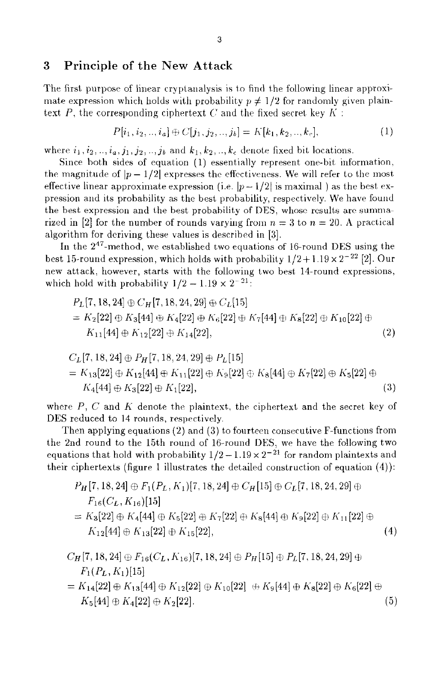## **3** Principle of the New Attack

The first purpose of linear cryptanalysis is to find the following linear approximate expression which holds with probability  $p \neq 1/2$  for randomly given plaintext, *P*, the corresponding ciphertext *C* and the fixed secret, key  $K$ :

$$
P[i_1, i_2, \dots, i_a] \oplus C[j_1, j_2, \dots, j_b] = K[k_1, k_2, \dots, k_c],
$$
\n<sup>(1)</sup>

where  $i_1, i_2, \ldots, i_a, j_1, j_2, \ldots, j_b$  and  $k_1, k_2, \ldots, k_c$  denote fixed bit locations.

Since both sides of equation  $(1)$  essentially represent one-bit information, the magnitude of  $|p - 1/2|$  expresses the effectiveness. We will refer to the most effective linear approximate expression (i.e.  $|p-1/2|$  is maximal) as the best expression and its probability as the best probability, respectively. We have found the best expression and the best probability of DES, whose results are summarized in [2] for the number of rounds varying from  $n = 3$  to  $n = 20$ . A practical algorithm for deriving these values is described in [3].

In the  $2^{47}$ -method, we established two equations of 16-round DES using the best 15-round expression, which holds with probability  $1/2 + 1.19 \times 2^{-22}$  [2]. Our new attack, however, starts with the following two best 14-round expressions, which hold with probability  $1/2 - 1.19 \times 2^{-21}$ .

$$
P_{L}[7, 18, 24] \oplus C_{H}[7, 18, 24, 29] \oplus C_{L}[15]
$$
  
=  $K_{2}[22] \oplus K_{3}[44] \oplus K_{4}[22] \oplus K_{6}[22] \oplus K_{7}[44] \oplus K_{8}[22] \oplus K_{10}[22] \oplus K_{11}[44] \oplus K_{12}[22] \oplus K_{14}[22],$  (2)

$$
C_L[7, 18, 24] \oplus P_H[7, 18, 24, 29] \oplus P_L[15]
$$
  
=  $K_{13}[22] \oplus K_{12}[44] \oplus K_{11}[22] \oplus K_9[22] \oplus K_8[44] \oplus K_7[22] \oplus K_5[22] \oplus K_4[44] \oplus K_3[22] \oplus K_1[22],$  (3)

where  $P$ ,  $C$  and  $K$  denote the plaintext, the ciphertext and the secret key of DES reduced to 14 rounds, respectively

Then applying equations (2) and **(3)** to fourtecn consecutive F-functions from the 2nd round to the 15th round of 16-round DES, we have the following two equations that hold with probability  $1/2 - 1.19 \times 2^{-21}$  for random plaintexts and their ciphertexts (figure I illustrates the detailed construction of equation **(4))** 

$$
P_H[7, 18, 24] \oplus F_1(P_L, K_1)[7, 18, 24] \oplus C_H[15] \oplus C_L[7, 18, 24, 29] \oplus
$$
  
\n
$$
F_{16}(C_L, K_{16})[15]
$$
  
\n
$$
= K_3[22] \oplus K_4[44] \oplus K_5[22] \oplus K_7[22] \oplus K_8[44] \oplus K_9[22] \oplus K_{11}[22] \oplus
$$
  
\n
$$
K_{12}[44] \oplus K_{13}[22] \oplus K_{15}[22],
$$
  
\n(4)

$$
C_H[7,18,24] \oplus F_{16}(C_L,K_{16})[7,18,24] \oplus P_H[15] \oplus P_L[7,18,24,29] \oplus F_1(P_L,K_1)[15]
$$

$$
= K_{14}[22] \oplus K_{13}[44] \oplus K_{12}[22] \oplus K_{10}[22] \oplus K_9[44] \oplus K_8[22] \oplus K_6[22] \oplus K_5[44] \oplus K_4[22] \oplus K_2[22].
$$
\n(5)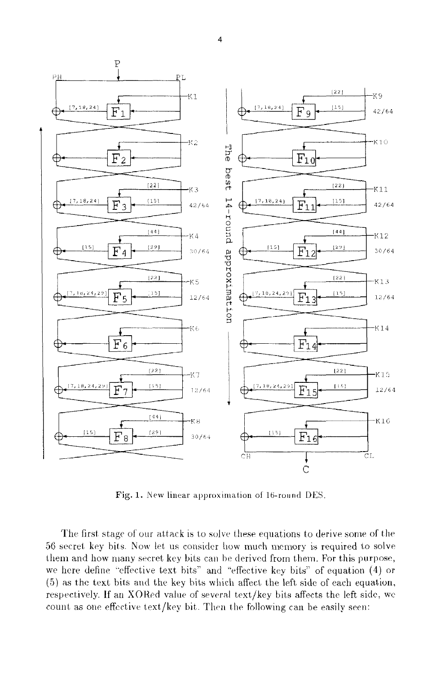

Fig. 1. New linear approximation of 16-round DES.

The first stage of our attack is to solve these equations to derive some of the 56 secret key bits. Now let us consider how much memory is required to solve them and how many secret key bits can be derived from them. For this purpose, we here define "effective text bits" and "effective key bits" of equation (4) or (5) as the text bits and the key bits which affect the left side of each equation, respectively. If an XORed value of several text/key bits affects the left side, we count as one effective text/key bit. Then the following can be easily seen:

 $\overline{\mathbf{4}}$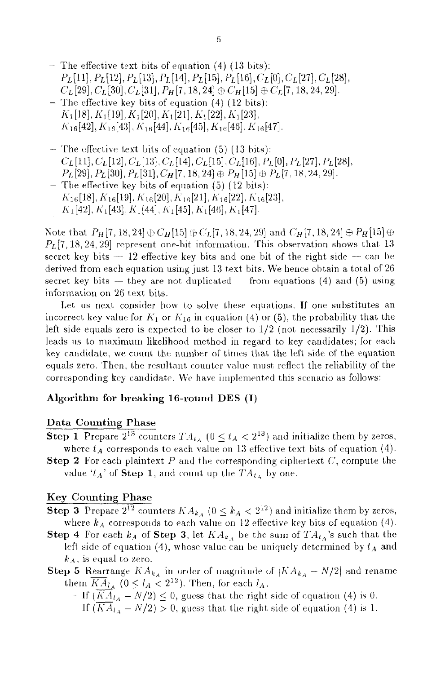- $-$  The effective text bits of equation (4) (13 bits): *P*<sub>L</sub><sup>[11]</sup>, *P*<sub>L</sub><sup>[12]</sup>, *P*<sub>L</sub><sup>[13]</sup>, *P*<sub>L</sub><sup>[14]</sup>, *P*<sub>L</sub><sup>[15]</sup>, *P*<sub>L</sub><sup>[16]</sup>, *C*<sub>L</sub><sup>[0]</sup>, *C*<sub>L</sub><sup>[27]</sup>, *C*<sub>L</sub><sup>[28]</sup>,  $C_L$ [29],  $C_L$ [30],  $C_L$ [31]*, P<sub>H</sub>* [7, 18, 24]  $\oplus$   $C_H$ [15]  $\oplus$   $C_L$ [7, 18, 24, 29].
- $-$  The effective key bits of equation (4) (12 bits):  $K_1[18], K_1[19], K_1[20], K_1[21], K_1[22], K_1[23],$  $K_{16}[42], K_{16}[43], K_{16}[44], K_{16}[45], K_{16}[46], K_{16}[47].$
- $-$  The effective text bits of equation (5) (13 bits):  $C_L[11], C_L[12], C_L[13], C_L[14], C_L[15], C_L[16], P_L[0], P_L[27], P_L[28],$  $P_L[29], P_L[30], P_L[31], C_H[7, 18, 24] \oplus P_H[15] \oplus P_L[7, 18, 24, 29].$
- $-$  The effective key bits of equation (5) (12 bits):  $K_{16}[18], K_{16}[19], K_{16}[20], K_{16}[21], K_{16}[22], K_{16}[23],$  $K_1[42], K_1[43], K_1[44], K_1[45], K_1[46], K_1[47].$

Note that  $P_H[7, 18, 24] \oplus C_H[15] \oplus C_L[7, 18, 24, 29]$  and  $C_H[7, 18, 24] \oplus P_H[15] \oplus$  $P_L[7, 18, 24, 29]$  represent one-bit information. This observation shows that 13 secret key bits — 12 effective key bits and one bit of the right side — can be derived from each equation using just 13 text bits. We hence obtain a total of 26 secret key bits  $-$  they are not duplicated from equations (4) and (5) using information on 26 text bits.

Let us next consider how to solve these equations. If one substitutes an incorrect key value for  $K_1$  or  $K_{16}$  in equation (4) or (5), the probability that the left side equals zero is expected to be closer to  $1/2$  (not necessarily  $1/2$ ). This leads us to maximum likelihood method in regard to key candidates; for each key candidate, we count the number of times that the left side of the equation equals zero. Then, the resultant counter value must reflect the reliability of the corresponding key candidate. We have implemented this scenario as follows:

### **Algorithm for breaking 16-round DES (I)**

### **Data Counting Phase**

- **Step 1** Prepare  $2^{13}$  counters  $TA_{t_A}$  ( $0 \le t_A < 2^{13}$ ) and initialize them by zeros, where  $t_A$  corresponds to each value on 13 effective text bits of equation (4).
- **Step 2** For each plaintext  $P$  and the corresponding ciphertext  $C$ , compute the value ' $t_A$ ' of **Step 1**, and count up the  $TA_{t_A}$  by one.

### **Key Counting Phase**

- **Step 3** Prepare  $2^{12}$  counters  $KA_{k_A}$  ( $0 \leq k_A < 2^{12}$ ) and initialize them by zeros, where  $k_A$  corresponds to each value on 12 effective key bits of equation  $(4)$ .
- **Step 4** For each  $k_A$  of **Step 3**, let  $KA_{k_A}$  be the sum of  $TA_{t_A}$ 's such that the left side of equation  $(4)$ , whose value can be uniquely determined by  $t_A$  and  $k_A$ , is equal to zero.
- **Step 5** Rearrange  $KA_{k_A}$  in order of magnitude of  $|KA_{k_A} N/2|$  and rename them  $\overline{KA}_{l_A}$  ( $0 \leq l_A < 2^{12}$ ). Then, for each  $l_A$ ,
	- If  $(KA_{l_A} N/2) \leq 0$ , guess that the right side of equation (4) is 0. If  $(KA_{l_A} - N/2) > 0$ , guess that the right side of equation (4) is 1.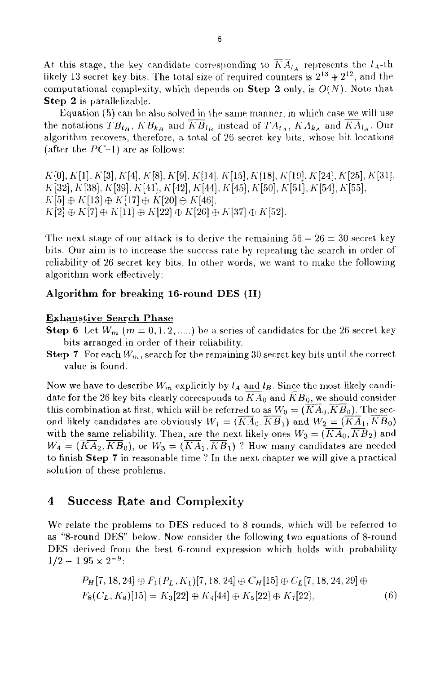At this stage, the key candidate corresponding to  $\overline{KA}_{l_A}$  represents the  $l_A$ -th likely 13 secret key bits. The total size of required counters is  $2^{13} + 2^{12}$ , and the computational complexity, which depends on **Step 2** only, is  $O(N)$ . Note that Step 2 is parallelizable.

Equation (5) can be also solved in the same manner, in which case we will use the notations  $TB_{t_B}$ ,  $KB_{k_B}$  and  $\overline{KB}_{l_B}$  instead of  $TA_{t_A}$ ,  $KA_{k_A}$  and  $\overline{KA}_{l_A}$ . Our algorithm recovers, therefore, a total of 26 secret key bits, whose bit locations (after the  $PC-1$ ) are as follows:

 $K[0], K[1], K[3], K[4], K[8], K[9], K[14], K[15], K[18], K[19], K[24], K[25], K[31],$  $K[32], K[38], K[39], K[41], K[42], K[44], K[45], K[50], K[51], K[54], K[55],$  $K[5] \oplus K[13] \oplus K[17] \oplus K[20] \oplus K[46],$  $K[2] \oplus K[7] \oplus K[11] \oplus K[22] \oplus K[26] \oplus K[37] \oplus K[52].$ 

The next stage of our attack is to derive the remaining  $56 - 26 = 30$  secret key bits. Our aim is to increase the success rate by repeating the search in order of reliability of 26 secret key bits. In other words, we want to make the following algorithm work effectively:

### Algorithm for breaking 16-round DES (II)

#### **Exhaustive Search Phase**

**Step 6** Let  $W_m$  ( $m = 0, 1, 2, \dots$ ) be a series of candidates for the 26 secret key bits arranged in order of their reliability.

Step 7 For each  $W_m$ , search for the remaining 30 secret key bits until the correct value is found.

Now we have to describe  $W_m$  explicitly by  $l_A$  and  $l_B$ . Since the most likely candidate for the 26 key bits clearly corresponds to  $KA_0$  and  $KB_0$ , we should consider this combination at first, which will be referred to as  $W_0 = (KA_0, KB_0)$ . The second likely candidates are obviously  $W_1 = (\overline{K}A_0, \overline{KB}_1)$  and  $W_2 = (\overline{KA}_1, KB_0)$ with the same reliability. Then, are the next likely ones  $W_3 = (\overline{K}A_0, \overline{K}B_2)$  and  $W_4 = (K\overline{A}_2, \overline{KB}_0)$ , or  $W_3 = (\overline{KA}_1, \overline{KB}_1)$  ? How many candidates are needed to finish Step 7 in reasonable time ? In the next chapter we will give a practical solution of these problems.

#### **Success Rate and Complexity** 4

We relate the problems to DES reduced to 8 rounds, which will be referred to as "8-round DES" below. Now consider the following two equations of 8-round DES derived from the best 6-round expression which holds with probability  $1/2 - 1.95 \times 2^{-9}$ 

$$
P_H[7, 18, 24] \oplus F_1(P_L, K_1)[7, 18, 24] \oplus C_H[15] \oplus C_L[7, 18, 24, 29] \oplus F_8(C_L, K_8)[15] = K_3[22] \oplus K_4[44] \oplus K_5[22] \oplus K_7[22],\tag{6}
$$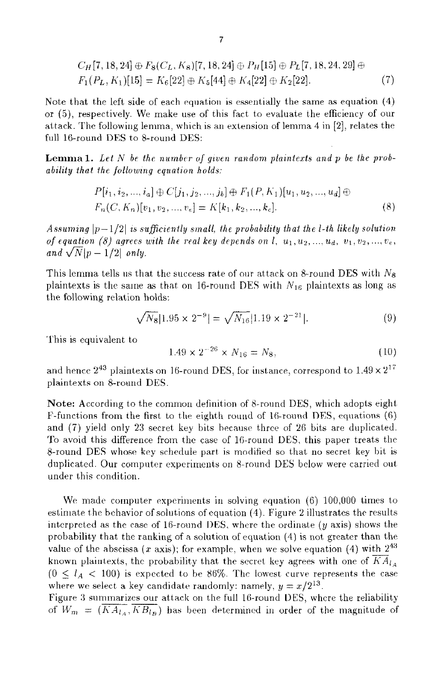$$
C_H[7, 18, 24] \oplus F_8(C_L, K_8)[7, 18, 24] \oplus P_H[15] \oplus P_L[7, 18, 24, 29] \oplus F_1(P_L, K_1)[15] = K_6[22] \oplus K_5[44] \oplus K_4[22] \oplus K_2[22].
$$
 (7)

Note that the left side of each equation is essentially the same as equation  $(4)$ or (5), respectively. We make use of this fact to evaluate the efficiency of our attack. The following lemma, which is an extension of lemma 4 in [2], relates the full 16-round DES to 8-round DES:

**Lemma 1.** Let  $N$  be the number of given random plaintexts and  $p$  be the probability that the following equation holds:

$$
P[i_1, i_2, ..., i_a] \oplus C[j_1, j_2, ..., j_b] \oplus F_1(P, K_1)[u_1, u_2, ..., u_d] \oplus F_n(C, K_n)[v_1, v_2, ..., v_e] = K[k_1, k_2, ..., k_e].
$$
\n(8)

Assuming  $|p-1/2|$  is sufficiently small, the probability that the l-th likely solution of equation (8) agrees with the real key depends on l,  $u_1, u_2, ..., u_d, v_1, v_2, ..., v_e$ , and  $\sqrt{N|p-1/2|}$  only.

This lemma tells us that the success rate of our attack on 8-round DES with  $N_8$ plaintexts is the same as that on 16-round DES with  $N_{16}$  plaintexts as long as the following relation holds:

$$
\sqrt{N_8} |1.95 \times 2^{-9}| = \sqrt{N_{16}} |1.19 \times 2^{-21}|. \tag{9}
$$

This is equivalent to

$$
1.49 \times 2^{-26} \times N_{16} = N_8,\tag{10}
$$

and hence  $2^{43}$  plaintexts on 16-round DES, for instance, correspond to  $1.49 \times 2^{17}$ plaintexts on 8-round DES.

Note: According to the common definition of 8-round DES, which adopts eight F-functions from the first to the eighth round of 16-round DES, equations  $(6)$ and (7) yield only 23 secret key bits because three of 26 bits are duplicated. To avoid this difference from the case of 16-round DES, this paper treats the 8-round DES whose key schedule part is modified so that no secret key bit is duplicated. Our computer experiments on 8-round DES below were carried out under this condition.

We made computer experiments in solving equation  $(6)$  100,000 times to estimate the behavior of solutions of equation (4). Figure 2 illustrates the results interpreted as the case of 16-round DES, where the ordinate  $(y \text{ axis})$  shows the probability that the ranking of a solution of equation (4) is not greater than the value of the abscissa (x axis); for example, when we solve equation (4) with  $2^{43}$ known plaintexts, the probability that the secret key agrees with one of  $\overline{KA}_{l_A}$  $(0 \leq l_A < 100)$  is expected to be 86%. The lowest curve represents the case where we select a key candidate randomly: namely,  $y = x/2^{13}$ .

Figure 3 summarizes our attack on the full 16-round DES, where the reliability of  $W_m = (\overline{KA_{l_A}}, \overline{KB_{l_B}})$  has been determined in order of the magnitude of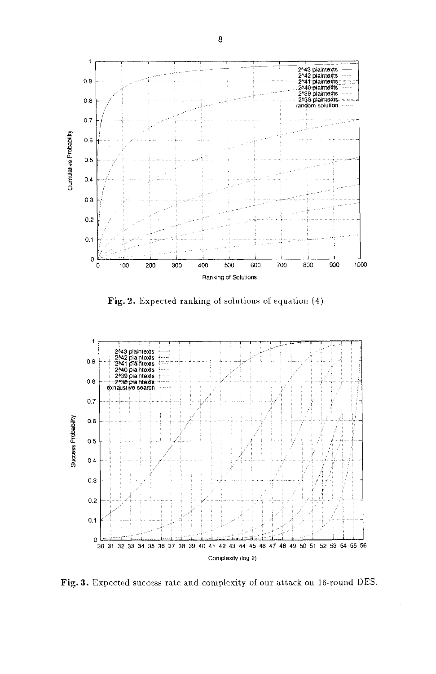

Fig. 2. Expected ranking of solutions of equation (4).



Fig. 3. Expected success rate and complexity of our attack on 16-round DES.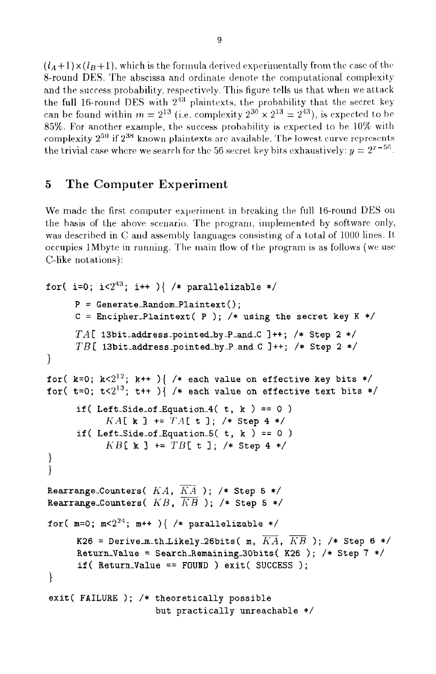$(l_A+1)\times(l_B+1)$ , which is the formula derived experimentally from the case of the 8-round DES. The abscissa and ordinate denote the computational complexity and the success probability, respectively. This figure tells us that when we attack the full 16-round DES with  $2^{43}$  plaintexts, the probability that the secret key can be found within  $m = 2^{13}$  (i.e. complexity  $2^{30} \times 2^{13} = 2^{43}$ ), is expected to be 85%. For another example, the success probability is expected to be 10% with complexity  $2^{50}$  if  $2^{38}$  known plaintexts are available. The lowest curve represents the trivial case where we search for the 56 secret key bits exhaustively:  $y = 2^{x-56}$ .

#### 5 The Computer Experiment

We made the first computer experiment in breaking the full 16-round DES on the basis of the above scenario. The program, implemented by software only, was described in C and assembly languages consisting of a total of 1000 lines. It occupies 1Mbyte in running. The main flow of the program is as follows (we use C-like notations):

```
for( i=0; i<2<sup>43</sup>; i++ ){ /* parallelizable */
      P = Generate_Random_Plaintext();
      C = Encipher_Plaintext( P ); /* using the secret key K */
      TA[ 13bit_address_pointed_by_P_and_C ]++; /* Step 2 */
      TB[ 13bit_address_pointed_by_P_and_C ]++; /* Step 2 */
\mathcal{L}for( k=0; k<2<sup>12</sup>; k++ ){ /* each value on effective key bits */
for( t=0; t<2<sup>13</sup>; t++ ){ /* each value on effective text bits */
      if(Left_Side_of_Equation_4(t, k) == 0)
            KA[ k ] += TA[ t ], /* Step 4 */if(Left_Side_of_Equation_5(t, k) == 0)
            KB[ x ] += TB[ t ]; /* Step 4 */
}
\mathcal{E}Rearrange_Counters(KA, \overline{KA}); /* Step 5 */
Rearrange_Counters(KB, \overline{KB}); /* Step 5 */
for( m=0; m<sup>24</sup>; m++ ){ /* parallelizable */
      K26 = Derive_m_th_Likely_26bits( m, \overline{KA}, \overline{KB}); /* Step 6 */
      Return_Value = Search_Remaining_30bits(K26); /* Step 7 */
      if (Return_Value == FOUND) exit (SUCCESS);
\mathcal{F}exit( FAILURE ); /* theoretically possible
                       but practically unreachable */
```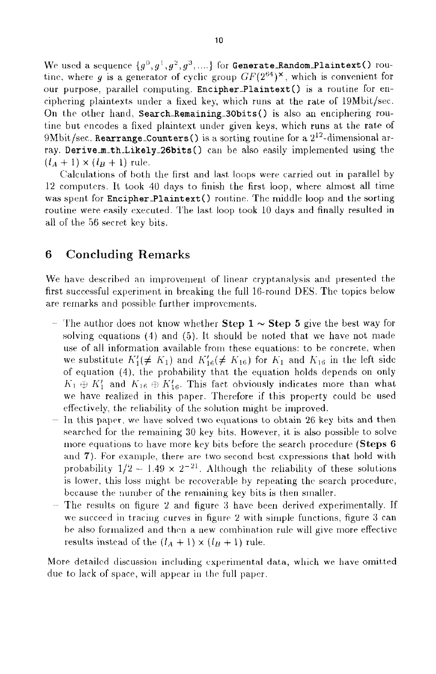$\text{We used a sequence } \{g^0, g^1, g^2, g^3, ....\} \text{ for } \texttt{Generate\_Random\_Plaintext()} \text{ row-} \}$ tine, where  $g$  is a generator of cyclic group  $GF(2^{64})^{\times}$ , which is convenient for our purpose, parallel computing. Encipher\_Plaintext() is a routine for enciphering plaintexts under a fixed key, which runs at the rate of  $19Mbit/sec$ . On the other hand, Search-Remaining-30bits () is also an enciphering routine but encodes a fixed plaintext under given keys, which runs at the rate of  $9Mbit/sec. Rearrange-Counters()$  is a sorting routine for a  $2^{12}$ -dimensional array. Derive\_m\_th\_Likely\_26bits () can be also easily implemented using the  $(l_A + 1) \times (l_B + 1)$  rule.

Calculations of both the first and last loops were carried out in parallel by  $12$  computers. It took 40 days to finish the first loop, where almost all time was spent for Encipher-Plaintext () routine. The middle loop and the sorting routine were easily executed. The last loop took 10 days and finally resulted in all of the 56 secret key bits.

## **6 Concluding Remarks**

We have described an improvement of linear cryptanalysis and presented the first successful experiment in breaking the full 16-round DES. The topics below are remarks and possible further improvements.

- The author does not know whether **Step 1**  $\sim$  **Step 5** give the best way for solving equations  $(4)$  and  $(5)$ . It should be noted that we have not made use of all information available from these equations: to be concrete, when we substitute  $K'_1(\neq K_1)$  and  $K'_{16}(\neq K_{16})$  for  $K_1$  and  $K_{16}$  in the left side of equation  $(4)$ , the probability that the equation holds depends on only  $K_1 \oplus K_1'$  and  $K_{16} \oplus K_{16}'$ . This fact obviously indicates more than what we have realized in this paper. Therefore if this property could be used effectively, the reliability of the solution might be improved.
- In this paper, we have solved two equations to obtain 26 key bits and then searched for the remaining 30 key bits. However, it is also possible to solve more equations to have Inore key bits before the search procedure **(Steps** *6*  and **7**). For example, there are two second best expressions that hold with probability  $1/2 - 1.49 \times 2^{-21}$ . Although the reliability of these solutions is lower, this loss might be recoverable by repeating the search procedure, because the number of the remaining key bits is then smaller.
- $-$  The results on figure 2 and figure 3 have been derived experimentally. If we succeed in tracing curves in figure 2 with simple functions, figure 3 can be also formalized and then a new combination rule will give more effective results instead of the  $(l_A + 1) \times (l_B + 1)$  rule.

More detailed discussion including experimental data, which we have omitted due to lack of space, will appear in the full paper.